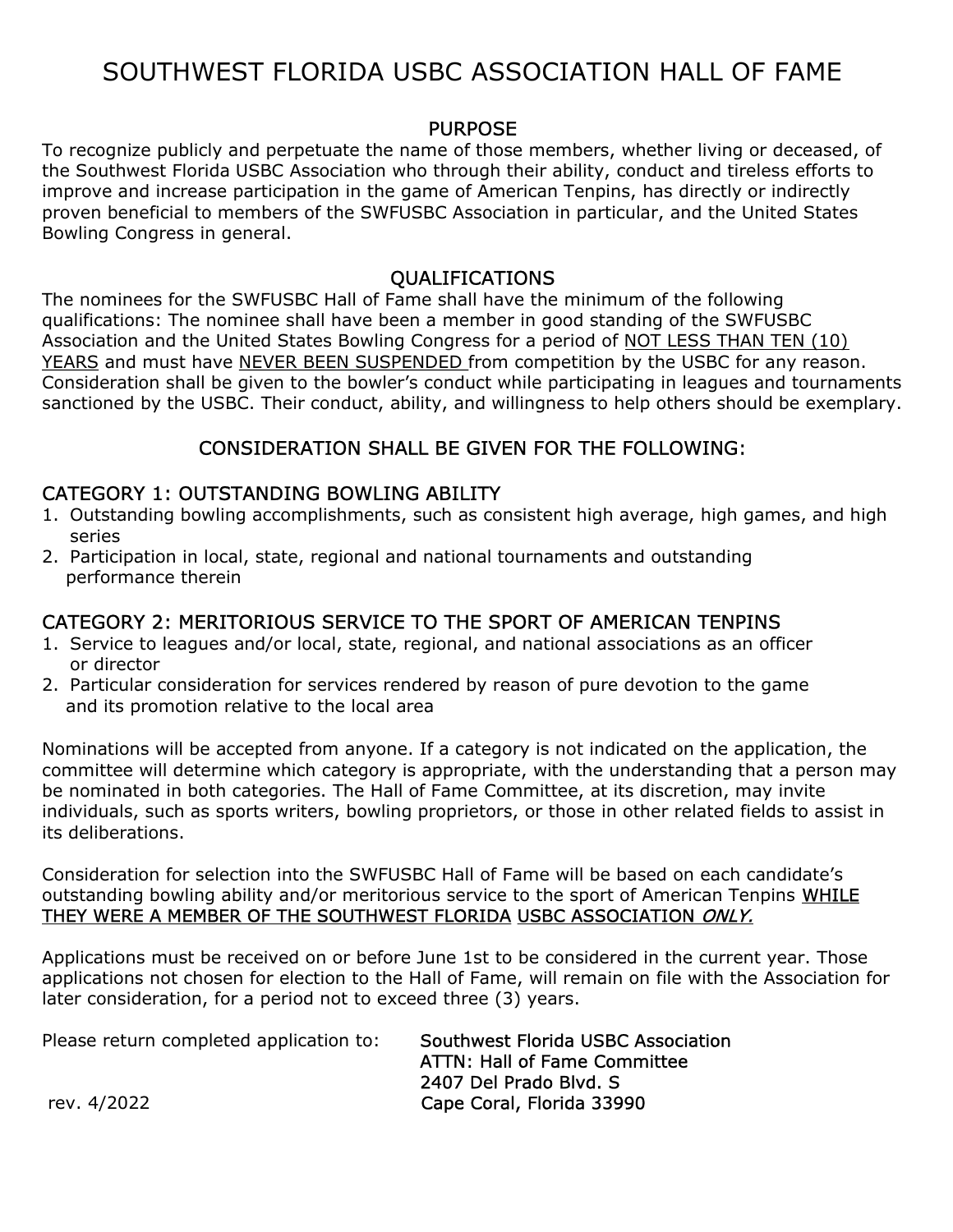# SOUTHWEST FLORIDA USBC ASSOCIATION HALL OF FAME

## PURPOSE

To recognize publicly and perpetuate the name of those members, whether living or deceased, of the Southwest Florida USBC Association who through their ability, conduct and tireless efforts to improve and increase participation in the game of American Tenpins, has directly or indirectly proven beneficial to members of the SWFUSBC Association in particular, and the United States Bowling Congress in general.

#### QUALIFICATIONS

The nominees for the SWFUSBC Hall of Fame shall have the minimum of the following qualifications: The nominee shall have been a member in good standing of the SWFUSBC Association and the United States Bowling Congress for a period of NOT LESS THAN TEN (10) YEARS and must have NEVER BEEN SUSPENDED from competition by the USBC for any reason. Consideration shall be given to the bowler's conduct while participating in leagues and tournaments sanctioned by the USBC. Their conduct, ability, and willingness to help others should be exemplary.

## CONSIDERATION SHALL BE GIVEN FOR THE FOLLOWING:

### CATEGORY 1: OUTSTANDING BOWLING ABILITY

- 1. Outstanding bowling accomplishments, such as consistent high average, high games, and high series
- 2. Participation in local, state, regional and national tournaments and outstanding performance therein

## CATEGORY 2: MERITORIOUS SERVICE TO THE SPORT OF AMERICAN TENPINS

- 1. Service to leagues and/or local, state, regional, and national associations as an officer or director
- 2. Particular consideration for services rendered by reason of pure devotion to the game and its promotion relative to the local area

Nominations will be accepted from anyone. If a category is not indicated on the application, the committee will determine which category is appropriate, with the understanding that a person may be nominated in both categories. The Hall of Fame Committee, at its discretion, may invite individuals, such as sports writers, bowling proprietors, or those in other related fields to assist in its deliberations.

Consideration for selection into the SWFUSBC Hall of Fame will be based on each candidate's outstanding bowling ability and/or meritorious service to the sport of American Tenpins WHILE THEY WERE A MEMBER OF THE SOUTHWEST FLORIDA USBC ASSOCIATION ONLY.

Applications must be received on or before June 1st to be considered in the current year. Those applications not chosen for election to the Hall of Fame, will remain on file with the Association for later consideration, for a period not to exceed three (3) years.

Please return completed application to: Southwest Florida USBC Association ATTN: Hall of Fame Committee 2407 Del Prado Blvd. S rev. 4/2022 Cape Coral, Florida 33990